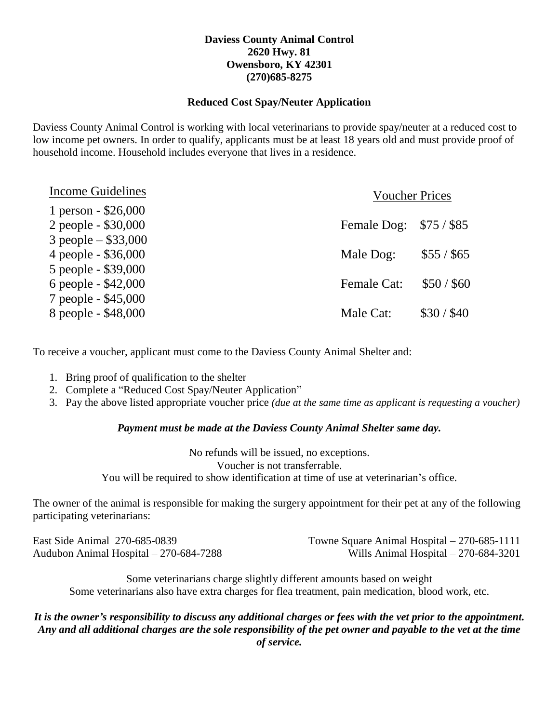## **Daviess County Animal Control 2620 Hwy. 81 Owensboro, KY 42301 (270)685-8275**

### **Reduced Cost Spay/Neuter Application**

Daviess County Animal Control is working with local veterinarians to provide spay/neuter at a reduced cost to low income pet owners. In order to qualify, applicants must be at least 18 years old and must provide proof of household income. Household includes everyone that lives in a residence.

| Income Guidelines                            | <b>Voucher Prices</b>   |             |  |
|----------------------------------------------|-------------------------|-------------|--|
| 1 person - \$26,000<br>2 people - \$30,000   | Female Dog: \$75 / \$85 |             |  |
| 3 people $-$ \$33,000<br>4 people - \$36,000 | Male Dog:               | $$55/$ \$65 |  |
| 5 people - \$39,000<br>6 people - \$42,000   | <b>Female Cat:</b>      | \$50/\$60   |  |
| 7 people - \$45,000<br>8 people - \$48,000   | Male Cat:               | \$30 / \$40 |  |

To receive a voucher, applicant must come to the Daviess County Animal Shelter and:

- 1. Bring proof of qualification to the shelter
- 2. Complete a "Reduced Cost Spay/Neuter Application"
- 3. Pay the above listed appropriate voucher price *(due at the same time as applicant is requesting a voucher)*

### *Payment must be made at the Daviess County Animal Shelter same day.*

No refunds will be issued, no exceptions. Voucher is not transferrable. You will be required to show identification at time of use at veterinarian's office.

The owner of the animal is responsible for making the surgery appointment for their pet at any of the following participating veterinarians:

| East Side Animal 270-685-0839           | Towne Square Animal Hospital $-270-685-1111$ |
|-----------------------------------------|----------------------------------------------|
| Audubon Animal Hospital $-270-684-7288$ | Wills Animal Hospital $-270-684-3201$        |

Some veterinarians charge slightly different amounts based on weight Some veterinarians also have extra charges for flea treatment, pain medication, blood work, etc.

*It is the owner's responsibility to discuss any additional charges or fees with the vet prior to the appointment. Any and all additional charges are the sole responsibility of the pet owner and payable to the vet at the time of service.*